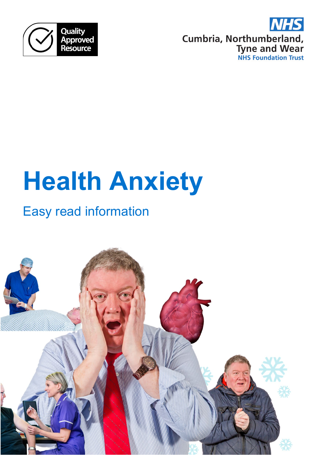



# **Health Anxiety**

## Easy read information

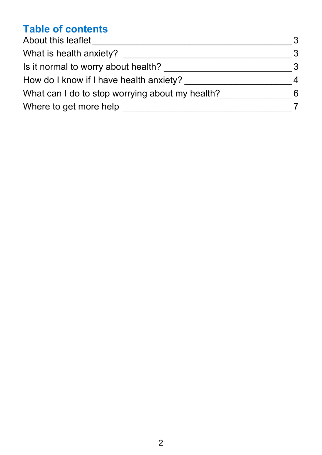## **Table of contents**

| About this leaflet                              | 3 |
|-------------------------------------------------|---|
| What is health anxiety?                         | 3 |
| Is it normal to worry about health?             | 3 |
| How do I know if I have health anxiety?         | 4 |
| What can I do to stop worrying about my health? | 6 |
| Where to get more help                          |   |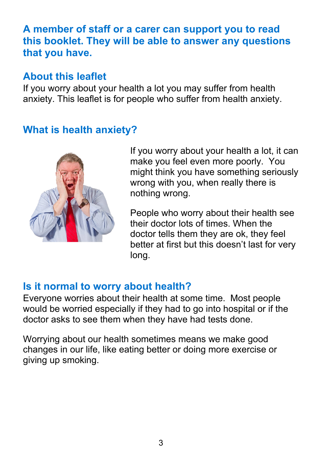#### **A member of staff or a carer can support you to read this booklet. They will be able to answer any questions that you have.**

### <span id="page-2-0"></span>**About this leaflet**

If you worry about your health a lot you may suffer from health anxiety. This leaflet is for people who suffer from health anxiety.

## <span id="page-2-1"></span>**What is health anxiety?**



If you worry about your health a lot, it can make you feel even more poorly. You might think you have something seriously wrong with you, when really there is nothing wrong.

People who worry about their health see their doctor lots of times. When the doctor tells them they are ok, they feel better at first but this doesn't last for very long.

### <span id="page-2-2"></span>**Is it normal to worry about health?**

Everyone worries about their health at some time. Most people would be worried especially if they had to go into hospital or if the doctor asks to see them when they have had tests done.

Worrying about our health sometimes means we make good changes in our life, like eating better or doing more exercise or giving up smoking.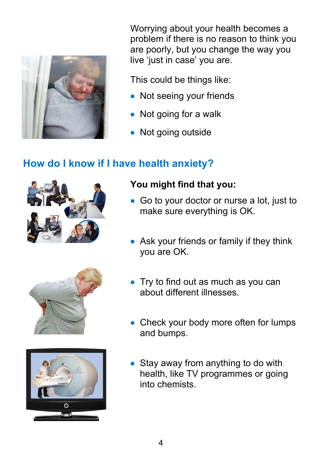

Worrying about your health becomes a problem if there is no reason to think you are poorly, but you change the way you live 'just in case' you are.

This could be things like:

- Not seeing your friends
- Not going for a walk
- Not going outside

## <span id="page-3-0"></span>**How do I know if I have health anxiety?**







#### **You might find that you:**

- Go to your doctor or nurse a lot, just to make sure everything is OK.
- Ask your friends or family if they think you are OK.
- Try to find out as much as you can about different illnesses.
- Check your body more often for lumps and bumps.
- Stay away from anything to do with health, like TV programmes or going into chemists.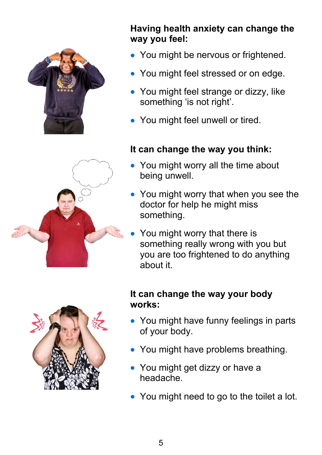

#### **Having health anxiety can change the way you feel:**

- You might be nervous or frightened.
- You might feel stressed or on edge.
- You might feel strange or dizzy, like something 'is not right'.
- You might feel unwell or tired.

### **It can change the way you think:**

- You might worry all the time about being unwell.
- You might worry that when you see the doctor for help he might miss something.
- You might worry that there is something really wrong with you but you are too frightened to do anything about it.



#### **It can change the way your body works:**

- You might have funny feelings in parts of your body.
- You might have problems breathing.
- You might get dizzy or have a headache.
- You might need to go to the toilet a lot.

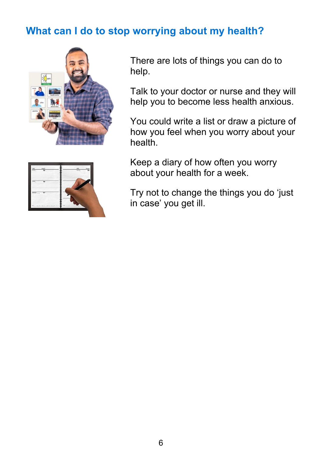## <span id="page-5-0"></span>**What can I do to stop worrying about my health?**



There are lots of things you can do to help.

Talk to your doctor or nurse and they will help you to become less health anxious.

You could write a list or draw a picture of how you feel when you worry about your health.

Keep a diary of how often you worry about your health for a week.

Try not to change the things you do 'just in case' you get ill.

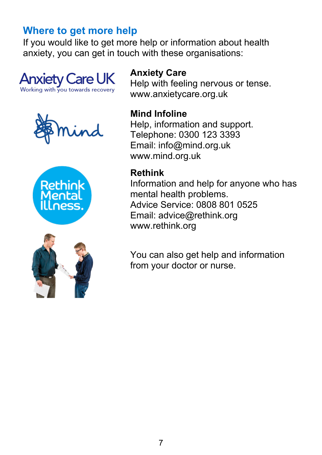## <span id="page-6-0"></span>**Where to get more help**

If you would like to get more help or information about health anxiety, you can get in touch with these organisations:









## **Anxiety Care**

Help with feeling nervous or tense. www.anxietycare.org.uk

#### **Mind Infoline**

Help, information and support. Telephone: 0300 123 3393 Email: info@mind.org.uk www.mind.org.uk

#### **Rethink**

Information and help for anyone who has mental health problems. Advice Service: 0808 801 0525 Email: advice@rethink.org www.rethink.org

You can also get help and information from your doctor or nurse.